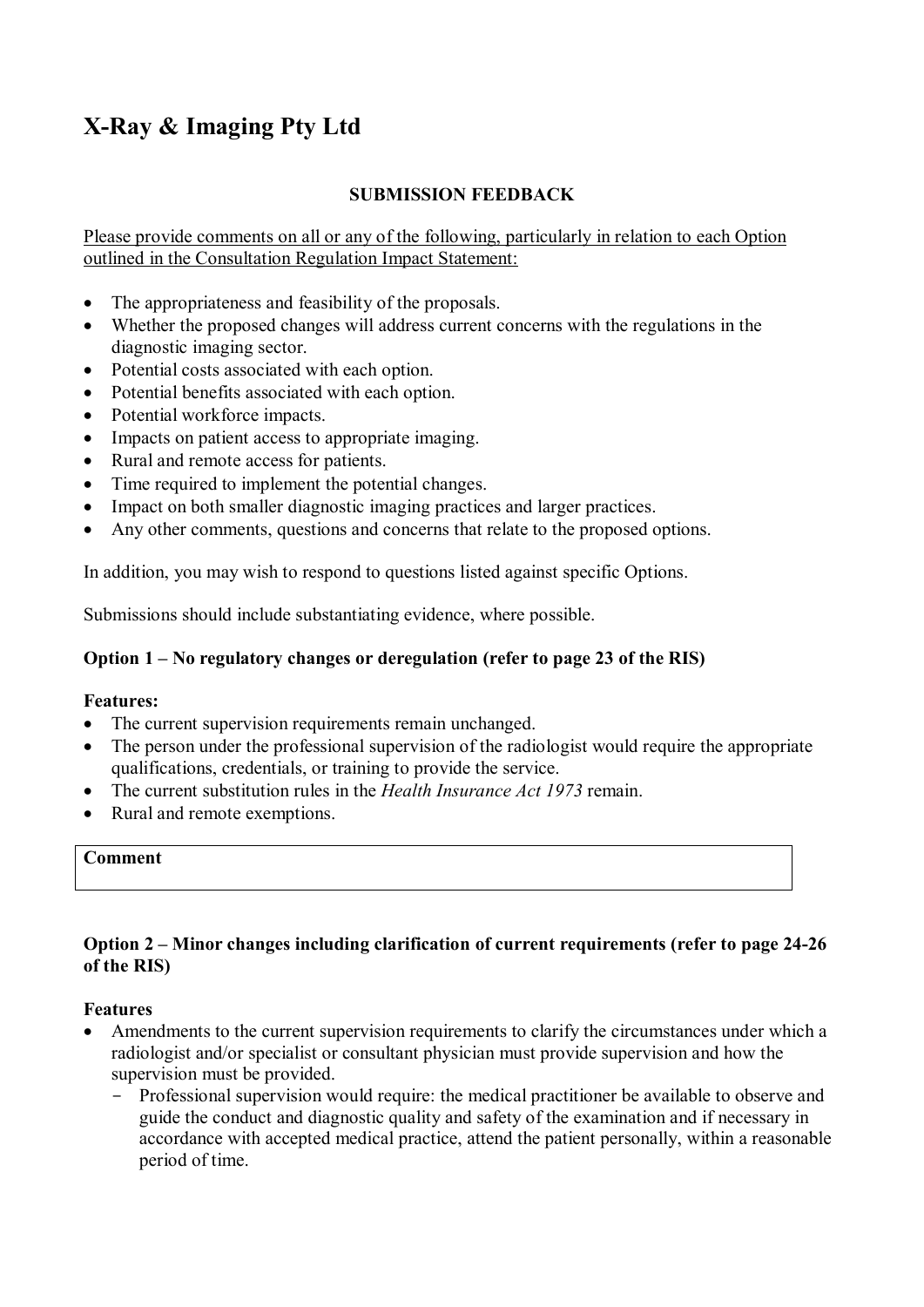# **X-Ray & Imaging Pty Ltd**

# **SUBMISSION FEEDBACK**

Please provide comments on all or any of the following, particularly in relation to each Option outlined in the Consultation Regulation Impact Statement:

- The appropriateness and feasibility of the proposals.
- Whether the proposed changes will address current concerns with the regulations in the diagnostic imaging sector.
- Potential costs associated with each option.
- Potential benefits associated with each option.
- Potential workforce impacts.
- Impacts on patient access to appropriate imaging.
- Rural and remote access for patients.
- Time required to implement the potential changes.
- Impact on both smaller diagnostic imaging practices and larger practices.
- Any other comments, questions and concerns that relate to the proposed options.

In addition, you may wish to respond to questions listed against specific Options.

Submissions should include substantiating evidence, where possible.

## **Option 1 – No regulatory changes or deregulation (refer to page 23 of the RIS)**

## **Features:**

- The current supervision requirements remain unchanged.
- The person under the professional supervision of the radiologist would require the appropriate qualifications, credentials, or training to provide the service.
- The current substitution rules in the *Health Insurance Act 1973* remain.
- Rural and remote exemptions.

#### **Comment**

## **Option 2 – Minor changes including clarification of current requirements (refer to page 24-26 of the RIS)**

#### **Features**

- Amendments to the current supervision requirements to clarify the circumstances under which a radiologist and/or specialist or consultant physician must provide supervision and how the supervision must be provided.
	- Professional supervision would require: the medical practitioner be available to observe and guide the conduct and diagnostic quality and safety of the examination and if necessary in accordance with accepted medical practice, attend the patient personally, within a reasonable period of time.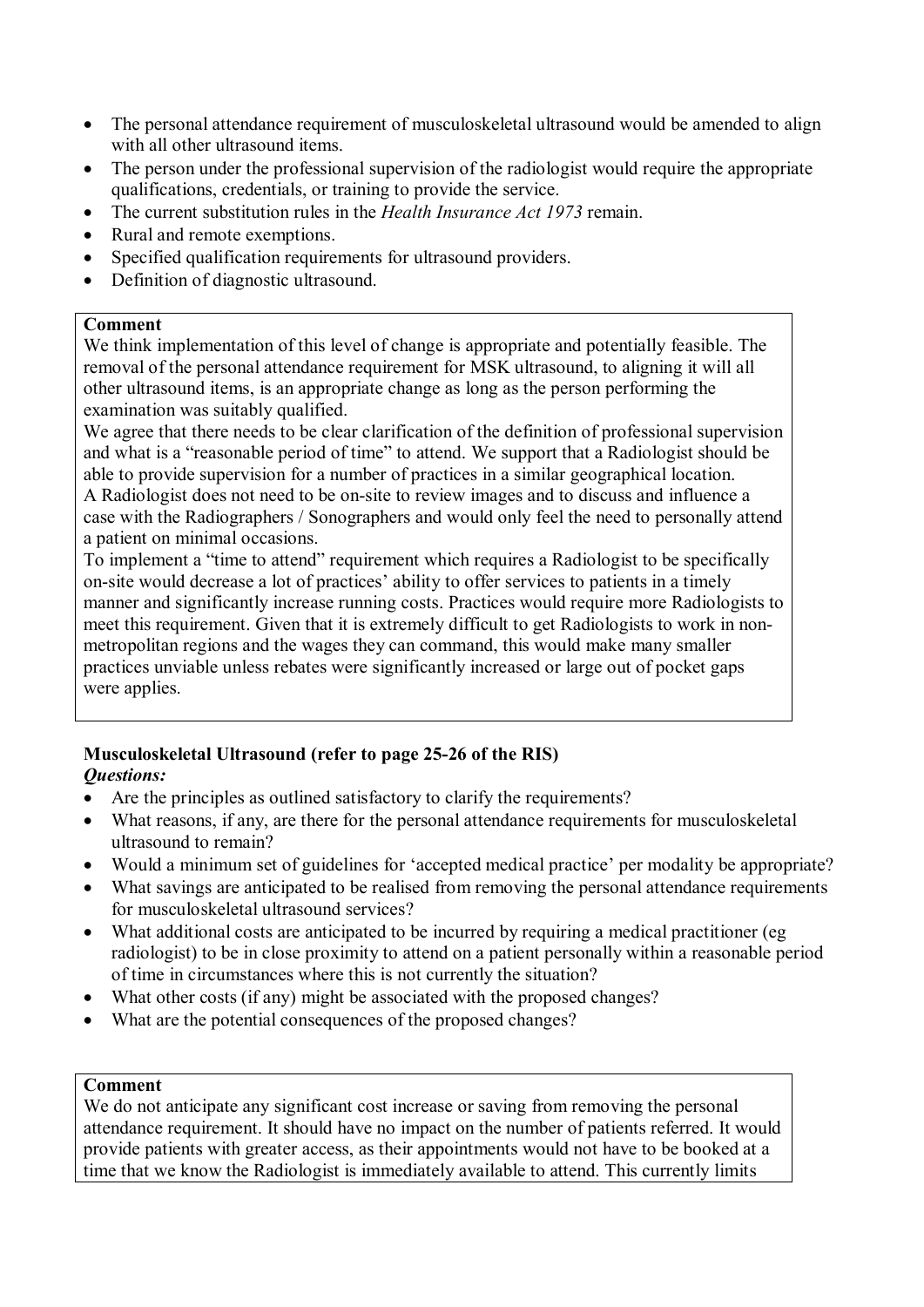- The personal attendance requirement of musculoskeletal ultrasound would be amended to align with all other ultrasound items.
- The person under the professional supervision of the radiologist would require the appropriate qualifications, credentials, or training to provide the service.
- The current substitution rules in the *Health Insurance Act 1973* remain.
- Rural and remote exemptions.
- Specified qualification requirements for ultrasound providers.
- Definition of diagnostic ultrasound.

## **Comment**

We think implementation of this level of change is appropriate and potentially feasible. The removal of the personal attendance requirement for MSK ultrasound, to aligning it will all other ultrasound items, is an appropriate change as long as the person performing the examination was suitably qualified.

We agree that there needs to be clear clarification of the definition of professional supervision and what is a "reasonable period of time" to attend. We support that a Radiologist should be able to provide supervision for a number of practices in a similar geographical location. A Radiologist does not need to be on-site to review images and to discuss and influence a case with the Radiographers / Sonographers and would only feel the need to personally attend a patient on minimal occasions.

To implement a "time to attend" requirement which requires a Radiologist to be specifically on-site would decrease a lot of practices' ability to offer services to patients in a timely manner and significantly increase running costs. Practices would require more Radiologists to meet this requirement. Given that it is extremely difficult to get Radiologists to work in nonmetropolitan regions and the wages they can command, this would make many smaller practices unviable unless rebates were significantly increased or large out of pocket gaps were applies.

## **Musculoskeletal Ultrasound (refer to page 25-26 of the RIS)**  *Questions:*

- Are the principles as outlined satisfactory to clarify the requirements?
- What reasons, if any, are there for the personal attendance requirements for musculoskeletal ultrasound to remain?
- Would a minimum set of guidelines for 'accepted medical practice' per modality be appropriate?
- What savings are anticipated to be realised from removing the personal attendance requirements for musculoskeletal ultrasound services?
- What additional costs are anticipated to be incurred by requiring a medical practitioner (eg radiologist) to be in close proximity to attend on a patient personally within a reasonable period of time in circumstances where this is not currently the situation?
- What other costs (if any) might be associated with the proposed changes?
- What are the potential consequences of the proposed changes?

## **Comment**

We do not anticipate any significant cost increase or saving from removing the personal attendance requirement. It should have no impact on the number of patients referred. It would provide patients with greater access, as their appointments would not have to be booked at a time that we know the Radiologist is immediately available to attend. This currently limits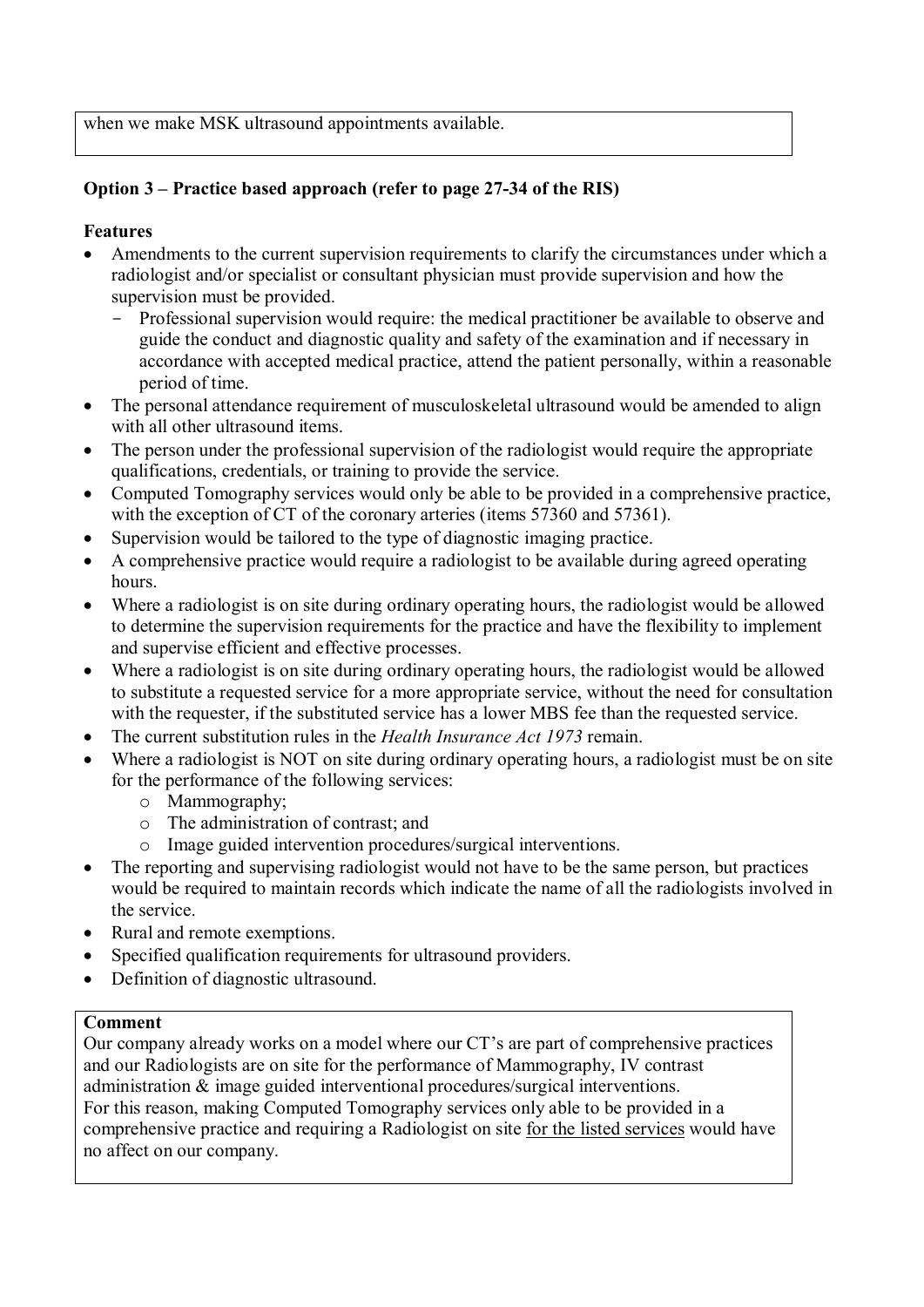when we make MSK ultrasound appointments available.

# **Option 3 – Practice based approach (refer to page 27-34 of the RIS)**

## **Features**

- Amendments to the current supervision requirements to clarify the circumstances under which a radiologist and/or specialist or consultant physician must provide supervision and how the supervision must be provided.
	- Professional supervision would require: the medical practitioner be available to observe and guide the conduct and diagnostic quality and safety of the examination and if necessary in accordance with accepted medical practice, attend the patient personally, within a reasonable period of time.
- The personal attendance requirement of musculoskeletal ultrasound would be amended to align with all other ultrasound items.
- The person under the professional supervision of the radiologist would require the appropriate qualifications, credentials, or training to provide the service.
- Computed Tomography services would only be able to be provided in a comprehensive practice, with the exception of CT of the coronary arteries (items 57360 and 57361).
- Supervision would be tailored to the type of diagnostic imaging practice.
- A comprehensive practice would require a radiologist to be available during agreed operating hours.
- Where a radiologist is on site during ordinary operating hours, the radiologist would be allowed to determine the supervision requirements for the practice and have the flexibility to implement and supervise efficient and effective processes.
- Where a radiologist is on site during ordinary operating hours, the radiologist would be allowed to substitute a requested service for a more appropriate service, without the need for consultation with the requester, if the substituted service has a lower MBS fee than the requested service.
- The current substitution rules in the *Health Insurance Act 1973* remain.
- Where a radiologist is NOT on site during ordinary operating hours, a radiologist must be on site for the performance of the following services:
	- o Mammography;
	- o The administration of contrast; and
	- o Image guided intervention procedures/surgical interventions.
- The reporting and supervising radiologist would not have to be the same person, but practices would be required to maintain records which indicate the name of all the radiologists involved in the service.
- Rural and remote exemptions.
- Specified qualification requirements for ultrasound providers.
- Definition of diagnostic ultrasound.

## **Comment**

Our company already works on a model where our CT's are part of comprehensive practices and our Radiologists are on site for the performance of Mammography, IV contrast administration & image guided interventional procedures/surgical interventions. For this reason, making Computed Tomography services only able to be provided in a comprehensive practice and requiring a Radiologist on site for the listed services would have no affect on our company.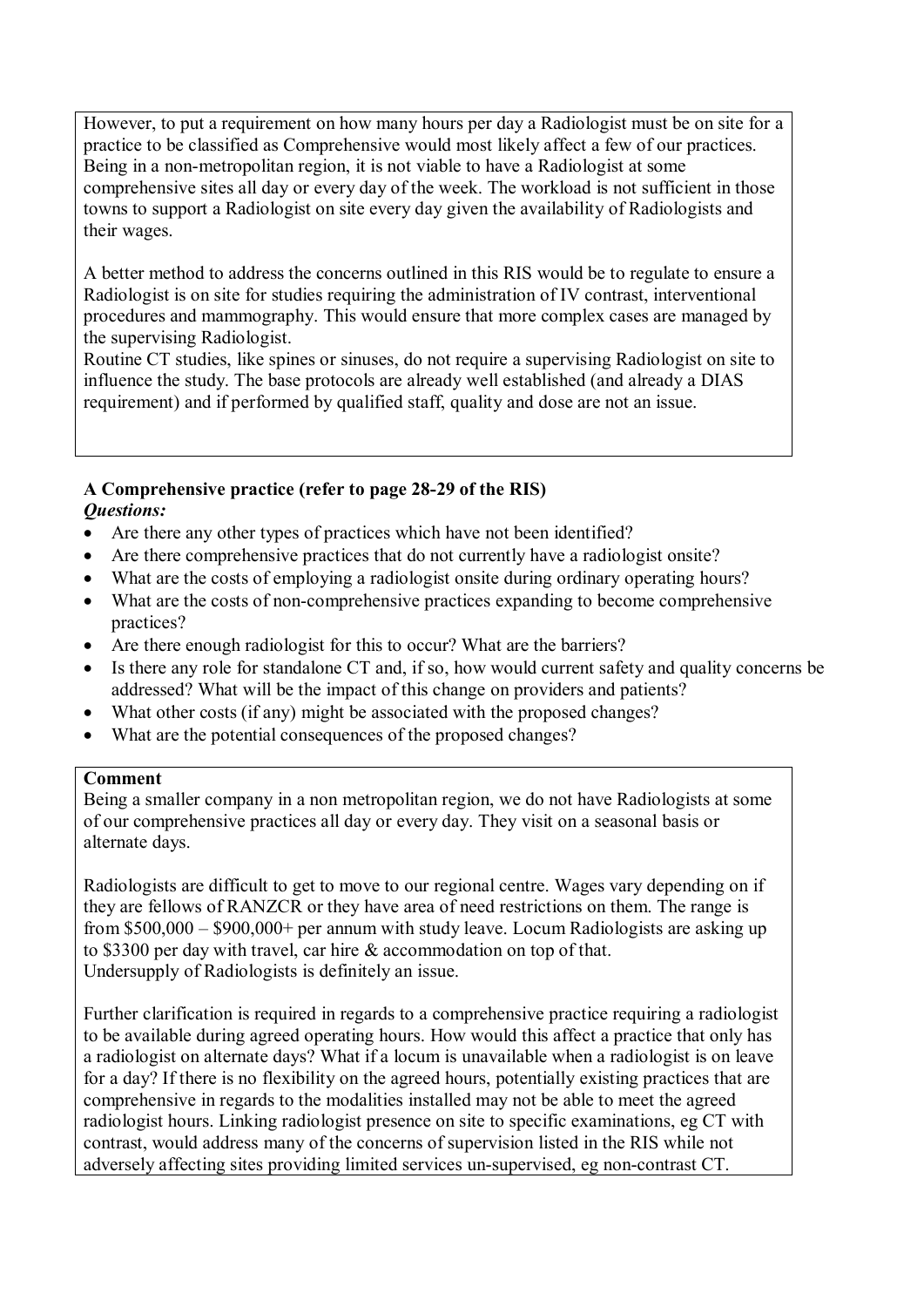However, to put a requirement on how many hours per day a Radiologist must be on site for a practice to be classified as Comprehensive would most likely affect a few of our practices. Being in a non-metropolitan region, it is not viable to have a Radiologist at some comprehensive sites all day or every day of the week. The workload is not sufficient in those towns to support a Radiologist on site every day given the availability of Radiologists and their wages.

A better method to address the concerns outlined in this RIS would be to regulate to ensure a Radiologist is on site for studies requiring the administration of IV contrast, interventional procedures and mammography. This would ensure that more complex cases are managed by the supervising Radiologist.

Routine CT studies, like spines or sinuses, do not require a supervising Radiologist on site to influence the study. The base protocols are already well established (and already a DIAS requirement) and if performed by qualified staff, quality and dose are not an issue.

## **A Comprehensive practice (refer to page 28-29 of the RIS)**  *Questions:*

- Are there any other types of practices which have not been identified?
- Are there comprehensive practices that do not currently have a radiologist onsite?
- What are the costs of employing a radiologist onsite during ordinary operating hours?
- What are the costs of non-comprehensive practices expanding to become comprehensive practices?
- Are there enough radiologist for this to occur? What are the barriers?
- Is there any role for standalone CT and, if so, how would current safety and quality concerns be addressed? What will be the impact of this change on providers and patients?
- What other costs (if any) might be associated with the proposed changes?
- What are the potential consequences of the proposed changes?

## **Comment**

Being a smaller company in a non metropolitan region, we do not have Radiologists at some of our comprehensive practices all day or every day. They visit on a seasonal basis or alternate days.

Radiologists are difficult to get to move to our regional centre. Wages vary depending on if they are fellows of RANZCR or they have area of need restrictions on them. The range is from \$500,000 – \$900,000+ per annum with study leave. Locum Radiologists are asking up to \$3300 per day with travel, car hire & accommodation on top of that. Undersupply of Radiologists is definitely an issue.

Further clarification is required in regards to a comprehensive practice requiring a radiologist to be available during agreed operating hours. How would this affect a practice that only has a radiologist on alternate days? What if a locum is unavailable when a radiologist is on leave for a day? If there is no flexibility on the agreed hours, potentially existing practices that are comprehensive in regards to the modalities installed may not be able to meet the agreed radiologist hours. Linking radiologist presence on site to specific examinations, eg CT with contrast, would address many of the concerns of supervision listed in the RIS while not adversely affecting sites providing limited services un-supervised, eg non-contrast CT.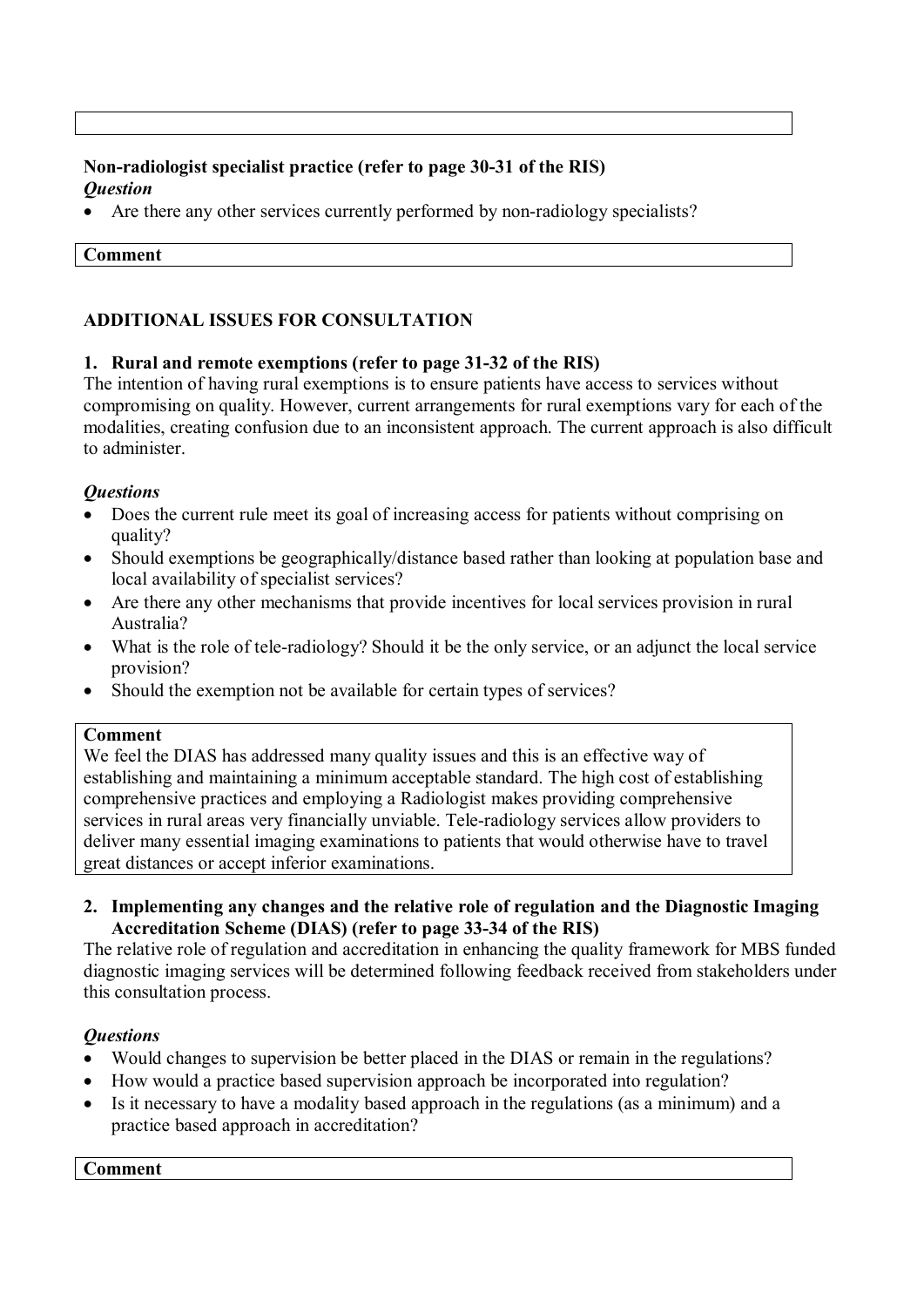## **Non-radiologist specialist practice (refer to page 30-31 of the RIS)**  *Question*

Are there any other services currently performed by non-radiology specialists?

#### **Comment**

## **ADDITIONAL ISSUES FOR CONSULTATION**

## **1. Rural and remote exemptions (refer to page 31-32 of the RIS)**

The intention of having rural exemptions is to ensure patients have access to services without compromising on quality. However, current arrangements for rural exemptions vary for each of the modalities, creating confusion due to an inconsistent approach. The current approach is also difficult to administer.

## *Questions*

- Does the current rule meet its goal of increasing access for patients without comprising on quality?
- Should exemptions be geographically/distance based rather than looking at population base and local availability of specialist services?
- Are there any other mechanisms that provide incentives for local services provision in rural Australia?
- What is the role of tele-radiology? Should it be the only service, or an adjunct the local service provision?
- Should the exemption not be available for certain types of services?

#### **Comment**

We feel the DIAS has addressed many quality issues and this is an effective way of establishing and maintaining a minimum acceptable standard. The high cost of establishing comprehensive practices and employing a Radiologist makes providing comprehensive services in rural areas very financially unviable. Tele-radiology services allow providers to deliver many essential imaging examinations to patients that would otherwise have to travel great distances or accept inferior examinations.

**2. Implementing any changes and the relative role of regulation and the Diagnostic Imaging Accreditation Scheme (DIAS) (refer to page 33-34 of the RIS)** 

The relative role of regulation and accreditation in enhancing the quality framework for MBS funded diagnostic imaging services will be determined following feedback received from stakeholders under this consultation process.

## *Questions*

- Would changes to supervision be better placed in the DIAS or remain in the regulations?
- How would a practice based supervision approach be incorporated into regulation?
- Is it necessary to have a modality based approach in the regulations (as a minimum) and a practice based approach in accreditation?

**Comment**